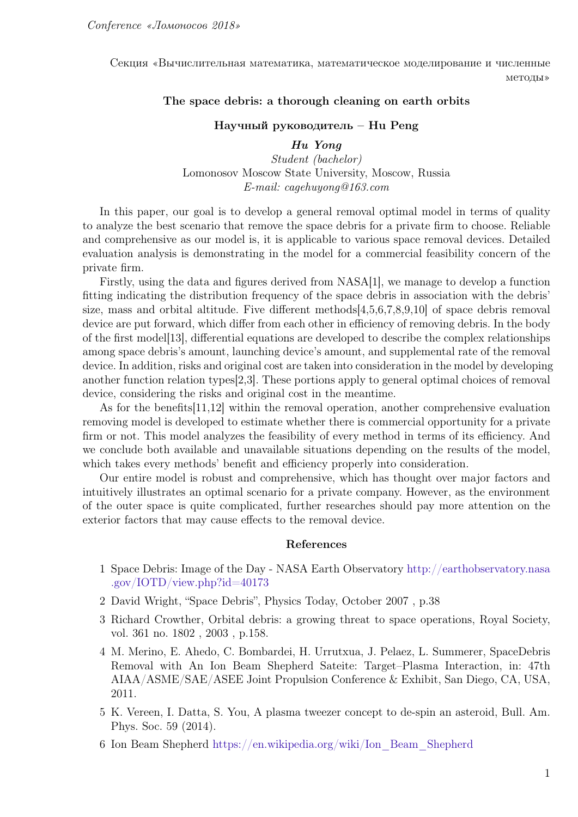Секция «Вычислительная математика, математическое моделирование и численные методы»

## The space debris: a thorough cleaning on earth orbits

## Научный руководитель – Hu Peng

Hu Yong Student (bachelor) Lomonosov Moscow State University, Moscow, Russia E-mail: cagehuyong@163.com

In this paper, our goal is to develop a general removal optimal model in terms of quality to analyze the best scenario that remove the space debris for a private firm to choose. Reliable and comprehensive as our model is, it is applicable to various space removal devices. Detailed evaluation analysis is demonstrating in the model for a commercial feasibility concern of the private firm.

Firstly, using the data and figures derived from NASA[1], we manage to develop a function fitting indicating the distribution frequency of the space debris in association with the debris' size, mass and orbital altitude. Five different methods[4,5,6,7,8,9,10] of space debris removal device are put forward, which differ from each other in efficiency of removing debris. In the body of the first model[13], differential equations are developed to describe the complex relationships among space debris's amount, launching device's amount, and supplemental rate of the removal device. In addition, risks and original cost are taken into consideration in the model by developing another function relation types[2,3]. These portions apply to general optimal choices of removal device, considering the risks and original cost in the meantime.

As for the benefits[11,12] within the removal operation, another comprehensive evaluation removing model is developed to estimate whether there is commercial opportunity for a private firm or not. This model analyzes the feasibility of every method in terms of its efficiency. And we conclude both available and unavailable situations depending on the results of the model, which takes every methods' benefit and efficiency properly into consideration.

Our entire model is robust and comprehensive, which has thought over major factors and intuitively illustrates an optimal scenario for a private company. However, as the environment of the outer space is quite complicated, further researches should pay more attention on the exterior factors that may cause effects to the removal device.

## References

- 1 Space Debris: Image of the Day NASA Earth Observatory [http://earthobservatory.nasa](http://earthobservatory.nasa.gov/IOTD/view.php?id=40173) [.gov/IOTD/view.php?id=40173](http://earthobservatory.nasa.gov/IOTD/view.php?id=40173)
- 2 David Wright, "Space Debris", Physics Today, October 2007 , p.38
- 3 Richard Crowther, Orbital debris: a growing threat to space operations, Royal Society, vol. 361 no. 1802 , 2003 , p.158.
- 4 M. Merino, E. Ahedo, C. Bombardei, H. Urrutxua, J. Pelaez, L. Summerer, SpaceDebris Removal with An Ion Beam Shepherd Sateite: Target–Plasma Interaction, in: 47th AIAA/ASME/SAE/ASEE Joint Propulsion Conference & Exhibit, San Diego, CA, USA, 2011.
- 5 K. Vereen, I. Datta, S. You, A plasma tweezer concept to de-spin an asteroid, Bull. Am. Phys. Soc. 59 (2014).
- 6 Ion Beam Shepherd [https://en.wikipedia.org/wiki/Ion\\_Beam\\_Shepherd](https://en.wikipedia.org/wiki/Ion_Beam_Shepherd)